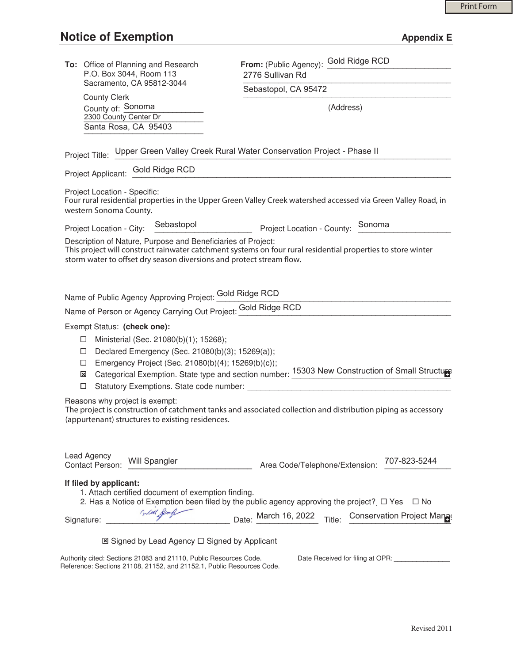| To: Office of Planning and Research<br>P.O. Box 3044, Room 113                                                                                                                                                                                                                                              | From: (Public Agency): Gold Ridge RCD<br>2776 Sullivan Rd                                                                                                                                                                                                                                                                                  |
|-------------------------------------------------------------------------------------------------------------------------------------------------------------------------------------------------------------------------------------------------------------------------------------------------------------|--------------------------------------------------------------------------------------------------------------------------------------------------------------------------------------------------------------------------------------------------------------------------------------------------------------------------------------------|
| Sacramento, CA 95812-3044                                                                                                                                                                                                                                                                                   | Sebastopol, CA 95472                                                                                                                                                                                                                                                                                                                       |
| <b>County Clerk</b><br>County of: Sonoma<br>2300 County Center Dr<br>Santa Rosa, CA 95403                                                                                                                                                                                                                   | (Address)                                                                                                                                                                                                                                                                                                                                  |
| Project Title: Upper Green Valley Creek Rural Water Conservation Project - Phase II                                                                                                                                                                                                                         |                                                                                                                                                                                                                                                                                                                                            |
| Project Applicant: Gold Ridge RCD                                                                                                                                                                                                                                                                           |                                                                                                                                                                                                                                                                                                                                            |
| Project Location - Specific:<br>western Sonoma County.                                                                                                                                                                                                                                                      | Four rural residential properties in the Upper Green Valley Creek watershed accessed via Green Valley Road, in                                                                                                                                                                                                                             |
| Sebastopol<br>Project Location - City:                                                                                                                                                                                                                                                                      | Sonoma<br>Project Location - County:                                                                                                                                                                                                                                                                                                       |
| Description of Nature, Purpose and Beneficiaries of Project:<br>This project will construct rainwater catchment systems on four rural residential properties to store winter<br>storm water to offset dry season diversions and protect stream flow.                                                        |                                                                                                                                                                                                                                                                                                                                            |
| Name of Public Agency Approving Project: Gold Ridge RCD<br>Name of Person or Agency Carrying Out Project: Gold Ridge RCD                                                                                                                                                                                    |                                                                                                                                                                                                                                                                                                                                            |
| Exempt Status: (check one):<br>Ministerial (Sec. 21080(b)(1); 15268);<br>□<br>Declared Emergency (Sec. 21080(b)(3); 15269(a));<br>□<br>Emergency Project (Sec. 21080(b)(4); 15269(b)(c));<br>□<br>Categorical Exemption. State type and section number: 15303 New Construction of Small Structure<br>⊠<br>□ |                                                                                                                                                                                                                                                                                                                                            |
| Reasons why project is exempt:<br>The project is construction of catchment tanks and associated collection and distribution piping as accessory<br>(appurtenant) structures to existing residences.                                                                                                         |                                                                                                                                                                                                                                                                                                                                            |
| Lead Agency<br>Will Spangler<br>Contact Person:                                                                                                                                                                                                                                                             | 707-823-5244<br>Area Code/Telephone/Extension:                                                                                                                                                                                                                                                                                             |
| If filed by applicant:<br>1. Attach certified document of exemption finding.<br>Signature: _______                                                                                                                                                                                                          | 2. Has a Notice of Exemption been filed by the public agency approving the project? $\Box$ Yes $\Box$ No<br>Date: March 16, 2022 Title: Conservation Project Management Conservation Project Management Conservation Project Management Conservation Project Management Conservation Project Management Conservation Project Management Co |
| $\boxtimes$ Signed by Lead Agency $\square$ Signed by Applicant                                                                                                                                                                                                                                             |                                                                                                                                                                                                                                                                                                                                            |
| Authority cited: Sections 21083 and 21110, Public Resources Code.<br>Reference: Sections 21108, 21152, and 21152.1, Public Resources Code.                                                                                                                                                                  | Date Received for filing at OPR: ________________                                                                                                                                                                                                                                                                                          |